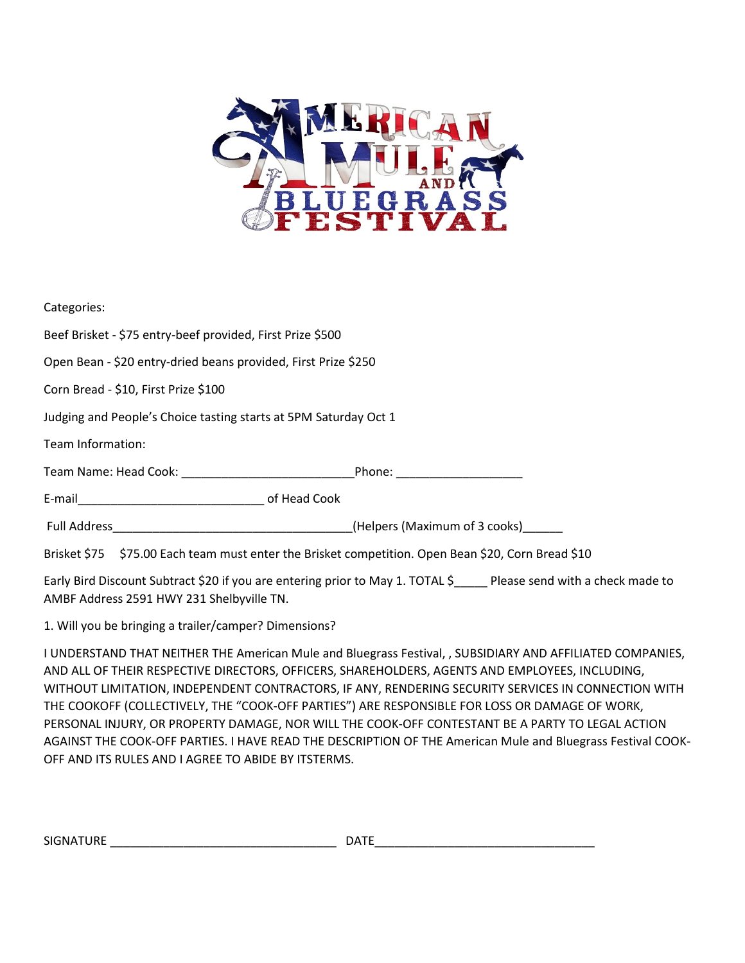

| Categories:                                                                                                    |                              |  |
|----------------------------------------------------------------------------------------------------------------|------------------------------|--|
| Beef Brisket - \$75 entry-beef provided, First Prize \$500                                                     |                              |  |
| Open Bean - \$20 entry-dried beans provided, First Prize \$250                                                 |                              |  |
| Corn Bread - \$10, First Prize \$100                                                                           |                              |  |
| Judging and People's Choice tasting starts at 5PM Saturday Oct 1                                               |                              |  |
| Team Information:                                                                                              |                              |  |
| Team Name: Head Cook: Name School School School School School School School School School School School School | Phone: _____________________ |  |
|                                                                                                                |                              |  |
| Full Address <b>Example 20 Full Address</b> (Helpers (Maximum of 3 cooks)                                      |                              |  |
| Brisket \$75 \$75.00 Each team must enter the Brisket competition. Open Bean \$20, Corn Bread \$10             |                              |  |

Early Bird Discount Subtract \$20 if you are entering prior to May 1. TOTAL \$\_\_\_\_\_ Please send with a check made to AMBF Address 2591 HWY 231 Shelbyville TN.

1. Will you be bringing a trailer/camper? Dimensions?

I UNDERSTAND THAT NEITHER THE American Mule and Bluegrass Festival, , SUBSIDIARY AND AFFILIATED COMPANIES, AND ALL OF THEIR RESPECTIVE DIRECTORS, OFFICERS, SHAREHOLDERS, AGENTS AND EMPLOYEES, INCLUDING, WITHOUT LIMITATION, INDEPENDENT CONTRACTORS, IF ANY, RENDERING SECURITY SERVICES IN CONNECTION WITH THE COOKOFF (COLLECTIVELY, THE "COOK-OFF PARTIES") ARE RESPONSIBLE FOR LOSS OR DAMAGE OF WORK, PERSONAL INJURY, OR PROPERTY DAMAGE, NOR WILL THE COOK-OFF CONTESTANT BE A PARTY TO LEGAL ACTION AGAINST THE COOK-OFF PARTIES. I HAVE READ THE DESCRIPTION OF THE American Mule and Bluegrass Festival COOK-OFF AND ITS RULES AND I AGREE TO ABIDE BY ITSTERMS.

| <b>SIGNATURE</b> | $\sim$ $\sim$ $\sim$ $\sim$<br>DATE |
|------------------|-------------------------------------|
|                  |                                     |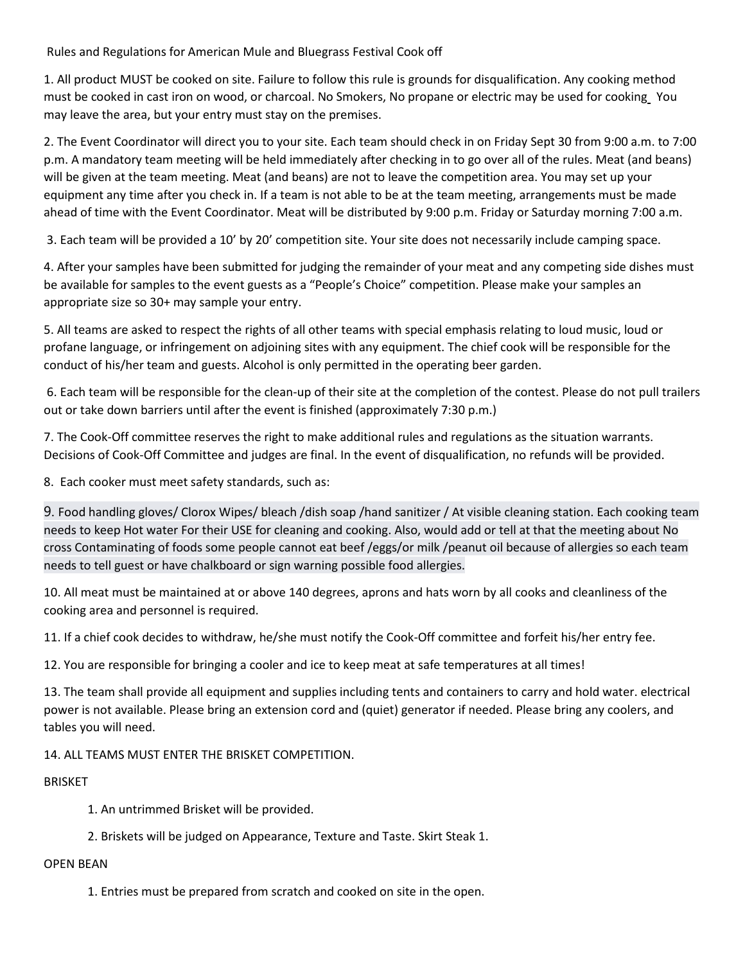Rules and Regulations for American Mule and Bluegrass Festival Cook off

1. All product MUST be cooked on site. Failure to follow this rule is grounds for disqualification. Any cooking method must be cooked in cast iron on wood, or charcoal. No Smokers, No propane or electric may be used for cooking You may leave the area, but your entry must stay on the premises.

2. The Event Coordinator will direct you to your site. Each team should check in on Friday Sept 30 from 9:00 a.m. to 7:00 p.m. A mandatory team meeting will be held immediately after checking in to go over all of the rules. Meat (and beans) will be given at the team meeting. Meat (and beans) are not to leave the competition area. You may set up your equipment any time after you check in. If a team is not able to be at the team meeting, arrangements must be made ahead of time with the Event Coordinator. Meat will be distributed by 9:00 p.m. Friday or Saturday morning 7:00 a.m.

3. Each team will be provided a 10' by 20' competition site. Your site does not necessarily include camping space.

4. After your samples have been submitted for judging the remainder of your meat and any competing side dishes must be available for samples to the event guests as a "People's Choice" competition. Please make your samples an appropriate size so 30+ may sample your entry.

5. All teams are asked to respect the rights of all other teams with special emphasis relating to loud music, loud or profane language, or infringement on adjoining sites with any equipment. The chief cook will be responsible for the conduct of his/her team and guests. Alcohol is only permitted in the operating beer garden.

6. Each team will be responsible for the clean-up of their site at the completion of the contest. Please do not pull trailers out or take down barriers until after the event is finished (approximately 7:30 p.m.)

7. The Cook-Off committee reserves the right to make additional rules and regulations as the situation warrants. Decisions of Cook-Off Committee and judges are final. In the event of disqualification, no refunds will be provided.

8. Each cooker must meet safety standards, such as:

9. Food handling gloves/ Clorox Wipes/ bleach /dish soap /hand sanitizer / At visible cleaning station. Each cooking team needs to keep Hot water For their USE for cleaning and cooking. Also, would add or tell at that the meeting about No cross Contaminating of foods some people cannot eat beef /eggs/or milk /peanut oil because of allergies so each team needs to tell guest or have chalkboard or sign warning possible food allergies.

10. All meat must be maintained at or above 140 degrees, aprons and hats worn by all cooks and cleanliness of the cooking area and personnel is required.

11. If a chief cook decides to withdraw, he/she must notify the Cook-Off committee and forfeit his/her entry fee.

12. You are responsible for bringing a cooler and ice to keep meat at safe temperatures at all times!

13. The team shall provide all equipment and supplies including tents and containers to carry and hold water. electrical power is not available. Please bring an extension cord and (quiet) generator if needed. Please bring any coolers, and tables you will need.

14. ALL TEAMS MUST ENTER THE BRISKET COMPETITION.

## BRISKET

- 1. An untrimmed Brisket will be provided.
- 2. Briskets will be judged on Appearance, Texture and Taste. Skirt Steak 1.

## OPEN BEAN

1. Entries must be prepared from scratch and cooked on site in the open.